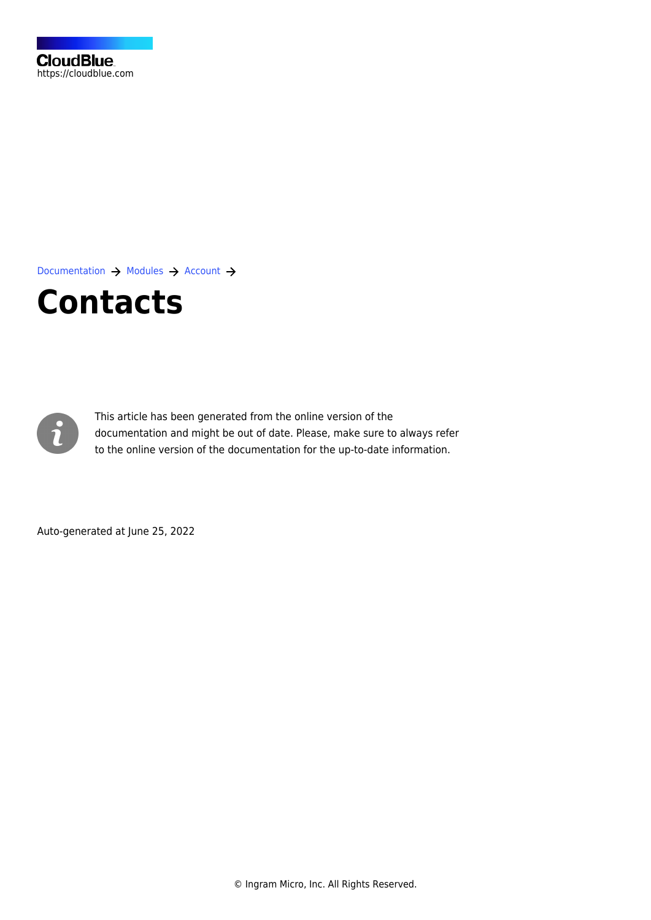[Documentation](https://connect.cloudblue.com/documentation)  $\rightarrow$  [Modules](https://connect.cloudblue.com/community/modules/)  $\rightarrow$  [Account](https://connect.cloudblue.com/community/modules/account/)  $\rightarrow$ 

# **[Contacts](https://connect.cloudblue.com/community/modules/account/contacts/)**



This article has been generated from the online version of the documentation and might be out of date. Please, make sure to always refer to the online version of the documentation for the up-to-date information.

Auto-generated at June 25, 2022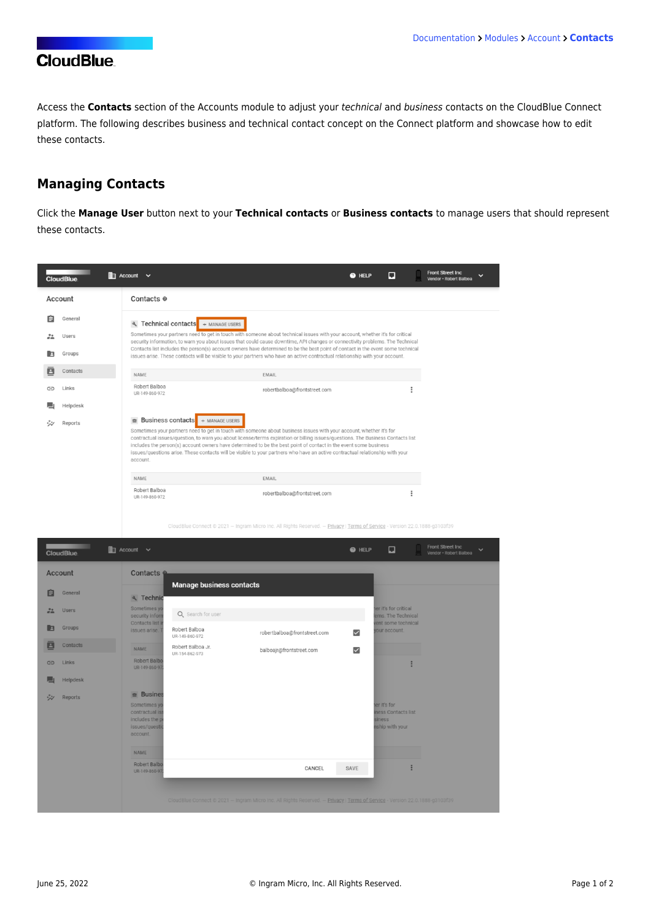## **CloudBlue**

Access the **Contacts** section of the Accounts module to adjust your technical and business contacts on the CloudBlue Connect platform. The following describes business and technical contact concept on the Connect platform and showcase how to edit these contacts.

## **Managing Contacts**

Click the **Manage User** button next to your **Technical contacts** or **Business contacts** to manage users that should represent these contacts.

|                  | <b>CloudBlue</b> | $\mathbb{H}$ Account $\vee$ |                                                                                                                                                                                                                                                                                                                                                                                                                                                                                                                                                                             |                                                   |                              | @ HELP | o |  | <b>Front Street Inc</b><br>Vendor · Robert Balboa |
|------------------|------------------|-----------------------------|-----------------------------------------------------------------------------------------------------------------------------------------------------------------------------------------------------------------------------------------------------------------------------------------------------------------------------------------------------------------------------------------------------------------------------------------------------------------------------------------------------------------------------------------------------------------------------|---------------------------------------------------|------------------------------|--------|---|--|---------------------------------------------------|
|                  | Account          |                             | Contacts <sup>®</sup>                                                                                                                                                                                                                                                                                                                                                                                                                                                                                                                                                       |                                                   |                              |        |   |  |                                                   |
| 自                | General          |                             |                                                                                                                                                                                                                                                                                                                                                                                                                                                                                                                                                                             | $\mathcal{A}$ , Technical contacts + MANAGE USERS |                              |        |   |  |                                                   |
| $\frac{24}{100}$ | <b>Users</b>     |                             | Sometimes your partners need to get in touch with someone about technical issues with your account, whether it's for critical<br>security information, to warn you about issues that could cause downtime, API changes or connectivity problems. The Technical                                                                                                                                                                                                                                                                                                              |                                                   |                              |        |   |  |                                                   |
|                  | Groups           |                             | Contacts list includes the person(s) account owners have determined to be the best point of contact in the event some technical<br>issues arise. These contacts will be visible to your partners who have an active contractual relationship with your account.                                                                                                                                                                                                                                                                                                             |                                                   |                              |        |   |  |                                                   |
| B                | Contacts         | <b>NAME</b>                 |                                                                                                                                                                                                                                                                                                                                                                                                                                                                                                                                                                             |                                                   | EMAIL                        |        |   |  |                                                   |
| ⇔                | Links            |                             | Robert Balboa<br>UR-149-860-972                                                                                                                                                                                                                                                                                                                                                                                                                                                                                                                                             |                                                   | robertbalboa@frontstreet.com |        |   |  |                                                   |
|                  | Helpdesk         |                             |                                                                                                                                                                                                                                                                                                                                                                                                                                                                                                                                                                             |                                                   |                              |        |   |  |                                                   |
|                  | Reports          |                             | $\triangleq$ Business contacts<br>+ MANAGE USERS<br>Sometimes your partners need to get in touch with someone about business issues with your account, whether it's for<br>contractual issues/question, to warn you about license/terms expiration or billing issues/questions. The Business Contacts list<br>includes the person(s) account owners have determined to be the best point of contact in the event some business<br>issues/questions arise. These contacts will be visible to your partners who have an active contractual relationship with your<br>account. |                                                   |                              |        |   |  |                                                   |
|                  |                  | <b>NAME</b>                 |                                                                                                                                                                                                                                                                                                                                                                                                                                                                                                                                                                             |                                                   | <b>EMAIL</b>                 |        |   |  |                                                   |
|                  |                  |                             | Robert Balboa<br>UR-149-860-972                                                                                                                                                                                                                                                                                                                                                                                                                                                                                                                                             |                                                   | robertbalboa@frontstreet.com |        |   |  |                                                   |

ect © 2021 — Ingram Micro Inc. All Rights Reserved. — <u>Privacy | Terms of Service</u> - Version 22.0.1888-g3103f39

|                | <b>CloudBlue</b> | $\mathbb{E}$ Account $\vee$                                                                                            |                                                      |                                                                                                                             | <b>O</b> HELP           | ⊡                                                               | Front Street Inc<br>Vendor - Robert Balboa | $\checkmark$ |
|----------------|------------------|------------------------------------------------------------------------------------------------------------------------|------------------------------------------------------|-----------------------------------------------------------------------------------------------------------------------------|-------------------------|-----------------------------------------------------------------|--------------------------------------------|--------------|
| <b>Account</b> |                  | Contacts 6                                                                                                             |                                                      |                                                                                                                             |                         |                                                                 |                                            |              |
| 自              | General          | २ Technic                                                                                                              | <b>Manage business contacts</b><br>Q Search for user |                                                                                                                             |                         |                                                                 |                                            |              |
| 22             | <b>Users</b>     | Sometimes yo<br>security inform                                                                                        |                                                      |                                                                                                                             |                         | ter it's for critical<br>ems. The Technical                     |                                            |              |
| E              | Groups           | <b>Contacts list in</b><br>issues arise.                                                                               | Robert Balboa<br>UR-149-860-972                      | robertbalboa@frontstreet.com                                                                                                | $\overline{\mathsf{S}}$ | vent some technical<br>your account.                            |                                            |              |
| ē              | Contacts         | <b>NAME</b>                                                                                                            | Robert Balboa Jr.<br>UR-154-862-973                  | balboajr@frontstreet.com                                                                                                    | $\checkmark$            |                                                                 |                                            |              |
| $\bigoplus$    | Links            | <b>Robert Balbo</b><br>UR-149-860-97                                                                                   |                                                      |                                                                                                                             |                         | E                                                               |                                            |              |
| □              | Helpdesk         |                                                                                                                        |                                                      |                                                                                                                             |                         |                                                                 |                                            |              |
| ジン             | Reports          | $\triangleq$ Busines<br>Sometimes yo<br>contractual is:<br>includes the p<br>issues/questio<br>account.<br><b>NAME</b> |                                                      |                                                                                                                             |                         | er it's for<br>iness Contacts list<br>siness<br>nship with your |                                            |              |
|                |                  | Robert Balbo<br>UR-149-860-97                                                                                          |                                                      | CANCEL                                                                                                                      | SAVE                    |                                                                 |                                            |              |
|                |                  |                                                                                                                        |                                                      | CloudBlue Connect @ 2021 - Ingram Micro Inc. All Rights Reserved. - Privacy   Terms of Service - Version 22.0.1888-g3103f39 |                         |                                                                 |                                            |              |